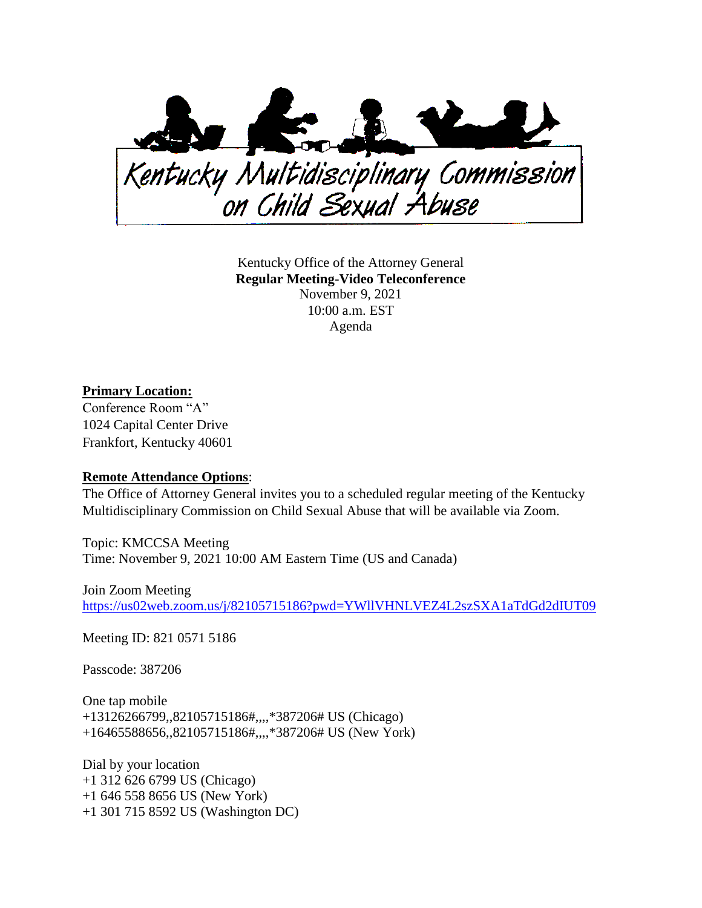

Kentucky Office of the Attorney General **Regular Meeting-Video Teleconference** November 9, 2021 10:00 a.m. EST Agenda

## **Primary Location:**

Conference Room "A" 1024 Capital Center Drive Frankfort, Kentucky 40601

## **Remote Attendance Options**:

The Office of Attorney General invites you to a scheduled regular meeting of the Kentucky Multidisciplinary Commission on Child Sexual Abuse that will be available via Zoom.

Topic: KMCCSA Meeting Time: November 9, 2021 10:00 AM Eastern Time (US and Canada)

Join Zoom Meeting [https://us02web.zoom.us/j/82105715186?pwd=YWllVHNLVEZ4L2szSXA1aTdGd2dIUT09](https://urldefense.com/v3/__https:/us02web.zoom.us/j/82105715186?pwd=YWllVHNLVEZ4L2szSXA1aTdGd2dIUT09__;!!Db6frn15oIvDD3UI!2RHbnE3nwmKS2A9HWZy2QhRrIwrwEmhHjehRCyjAiZXaMXwN8gqamMEhEaBwNLWp9_YA$)

Meeting ID: 821 0571 5186

Passcode: 387206

One tap mobile +13126266799,,82105715186#,,,,\*387206# US (Chicago) +16465588656,,82105715186#,,,,\*387206# US (New York)

Dial by your location +1 312 626 6799 US (Chicago) +1 646 558 8656 US (New York) +1 301 715 8592 US (Washington DC)